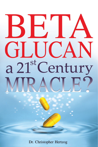# $\mathbf{H}^{\prime}$ GLICAN a 21<sup>st</sup> Century

Dr. Christopher Hertzog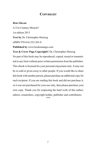#### **COPYRIGHT**

#### *Beta Glucan*

A 21st Century Miracle? 1st edition 2013 **Text by** Dr. Christopher Hertzog eISBN 978-616-222-265-8

**Published by** www.booksmango.com

**Text & Cover Page Copyright©** Dr. Christopher Hertzog No part of this book may be reproduced, copied, stored or transmitted in any form without prior written permission from the publisher. This ebook is licensed for your personal enjoyment only. It may not be re-sold or given away to other people. If you would like to share this book with another person, please purchase an additional copy for each recipient. If you are reading this book and did not purchase it, or it was not purchased for your use only, then please purchase your own copy. Thank you for respecting the hard work of this author, editors, researchers, copyright holder, publisher and contributors.

\*\*\*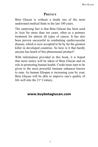#### **Preface**

Beta Glucan is without a doubt one of the most underrated medical finds in the last 100 years.

The surprising fact is that Beta Glucan has been used in Asia for more than ten years, often as a primary treatment for almost all types of cancer. It has also been proven successful in combatting cardiovascular disease, which is now accepted to be by far the greatest killer in developed countries. So how is it that hardly anyone has heard of this phenomenal product?

With information provided in this book, it is hoped that more notice will be taken of Beta Glucan and its role in promoting human health. Credit must start to be given to the most powerful immune enhancer known to man. As human lifespan is increasing year by year, Beta Glucan will be able to improve one's quality of life well into the 21st Century.

#### [www.buybetaglucan.com](http://www.buybetaglucan.com)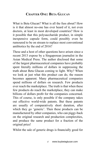# **Chapter One: Beta Glucan**

What is Beta Glucan? What is all the fuss about? How is it that almost no-one has ever heard of it, not even doctors, at least in most developed countries? How is it possible that this polysaccharide product, in simple inexpensive capsule form, could possibly even be rumoured to be on stream to replace most conventional antibiotics by the end of 2016?

These and a host of other questions have arisen since a recent 2013 expose by a Singaporean journalist in the Asian Medical Press. The author disclosed that some of the largest pharmaceutical companies have probably spent literally millions of dollars in suppressing the truth about Beta Glucan coming to light. Why? When we look at just what this product can do, the reason becomes apparent. Many pharmaceutical companies spend millions of dollars on research. Few products ever reach the marketplace. The truth is that when these few products do reach the marketplace, they can make billions of dollars profit for the companies concerned. This of course, is only possible if the company takes out effective world-wide patents. But these patents are usually of comparatively short duration, after which they go 'generic'. Then these products can be manufactured by other companies, who can piggy-back on the original research and production complexities, and produce the same product for a fraction of the original price!

Whilst the sale of generic drugs is financially good for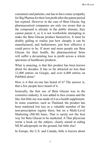consumers and patients, one has to have some sympathy for Big Pharma for their lost profit after the patent period has expired. However in the case of Beta Glucan, big pharmaceutical companies are only too aware that as the compound is already in the public domain, they cannot patent it, so it is not worthwhile attempting to make the Beta Glucan product themselves. It must be doubly galling to realise just how cheaply it can be manufactured, and furthermore, just how effective it could prove to be. If more and more people use Beta Glucan for their health, the pharmaceutical firms will suffer a devastating loss in profit across a whole spectrum of healthcare products.

What is amazing, is that this product has been known about for decades. It has so far attracted no less than 12,400 entries on Google, and over 6,400 entries on PubMed alone!

How is it that no-one has heard of it? The answer is, that a few people have heard of it.

Ironically, the first use of Beta Glucan was in the cosmetics industry. It was added to face creams and the like, but little use was made of it as a health supplement. In some countries, such as Thailand, the product has been marketed low key as a valuable member of the non-prescription regime there, but on a Multi-Level Marketing (MLM) basis. That is surely not the best way for Beta Glucan to be marketed. A Thai physician wrote a book on the subject, clearly aimed at aiding MLM salespeople on the ground, but little else!

In Europe, the U.S. and Canada, little is known about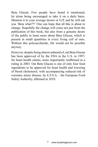Beta Glucan. Few people have heard it mentioned, let alone being encouraged to take it on a daily basis. Mention it to your average doctor or G.P, and he will ask you 'Beta what?!!' One can hope that all this is about to change. Hopefully the change will come not just from the publication of this book, but also from a genuine desire of the public to learn more about Beta Glucan, which is present in small quantities in every living cell of ours. Without this polysaccharide, life would not be possible anyway.

However, despite being almost unheard of, oat Beta Glucan has been approved of by the FDA in the U.S. in 1997, for heart health claims, more importantly reaffirmed in a ruling in 2003. Oat Beta Glucan is one of only four food ingredients to be approved for heart health and lowering of blood cholesterol, with accompanying reduced risk of coronary artery disease, by E.F.S.A. - the European Food Safety Authority, affirmed in 2010.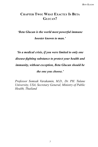#### **Chapter Two: What Exactly Is Beta Glucan?**

# *'Beta Glucan is the world most powerful immune booster known to man.'*

# *'In a medical crisis, if you were limited to only one disease-fighting substance to protect your health and immunity, without exception, Beta Glucan should be the one you choose.'*

*Professor Somsak Varakamin, M.D., Dr. PH. Tulane University, USA, Secretary General, Ministry of Public Health, Thailand*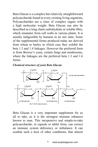Beta Glucan is a complex but relatively straightforward polysaccharide found in every existing living organism**.** Polysaccharides are a class of complex sugars with a high molecular weight. Beta Glucan can also be described as a long chain carbohydrate or soluble fibre, which emanates from cell walls in various plants. It is usually indigestible by humans in its raw state. Some of the supplemental forms produced today are derived from wheat or barley in which case they exhibit the beta 1.3 and 1.4 linkages. However the preferred form is from Brewer's yeast, certain fungi and mushrooms, where the linkages are the preferred beta 1.3 and 1.6 forms.





Beta Glucan is a very important supplement for us all to take, as it is the strongest immune enhancer known to man. This inexpensive and simple-to-take polysaccharide, in capsule or tablet form, can correct an immune system deficiency or imbalance. It can combat such a host of other conditions, that almost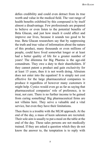defies credibility and could even detract from its true worth and value in the medical field. The vast range of health benefits exhibited by this compound is by itself almost a disadvantage. Few professionals are prepared to believe or even listen to the potential benefits of Beta Glucan, and just how much it could affect and improve our lives, because it sounds too good to be true. Beta Glucan researchers say that by suppressing the truth and true value of information about the nature of this product, many thousands or even millions of people, could have lived somewhat longer or at least had a better quality of life for a greater number of years! The dilemma for Big Pharma is the age-old conundrum. They owe a duty to their shareholders. If they cannot patent a product and gain exclusivity for at least 15 years, then it is not worth doing. Altruism does not enter into the equation! It is simply not cost effective for the large pharmaceutical companies to produce it regardless of however many customers it might help. Cynics would even go as far as saying that pharmaceutical companies' role of preference, is to treat, not cure. There is no further income to be gained from curing something! Big pharmaceutical firms are not villains here. They serve a valuable and a vital service, but even they have their limitations.

Then there is a trouble with the MLM approach. At the end of the day, a mass of keen salesmen are recruited. Their sole aim is usually to put a meal on the table at the end of the day. These sales persons are not medically trained. If they are asked a question which they do not know the answer to, the temptation is to reply with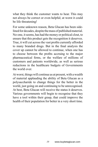what they think the customer wants to hear. This may not always be correct or even helpful; at worst it could be life threatening!

For some unknown reason, Beta Glucan has been sidelined for decades, despite the mass of published material. No-one, it seems, has had the money or political clout, to ensure that this product gets the recognition it deserves. True, it will cut across the vast profits currently afforded to many branded drugs. But in the final analysis the cover up cannot be allowed to continue, when one has to choose between the profits accruing to the major pharmaceutical firms, or the welfare of millions of customers and patients worldwide, as well as serious reductions in the healthcare budgets of Governments the world over.

At worst, things will continue as at present, with a wealth of material applauding the ability of Beta Glucan as a polysaccharide to change things for the better in the world, just going on and continuing to be unrecognised. At best, Beta Glucan will receive the status it deserves. Various governments will begin to recognise that they have a tool within their grasp, that could improve the health of their population for better in a very short time.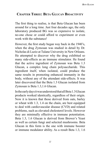# **Chapter Three: Beta Glucan Bioactivity**

The first thing to realise, is that Beta Glucan has been around for a long time. Just four decades ago, the only laboratory produced BG was so expensive to isolate, no-one chose or could afford to experiment or even work with the substance!

However, the first study began way back in the 1940's, when the drug Zymosan was studied in detail by Dr. Nicholas di Luzio at Tulane University in New Orleans. He attempted to discover why the drug exhibited so many side-effects as an immune stimulator. He found that the active ingredient of Zymosan was Beta 1.3 Glucan, a complex long chain polysaccharide. This ingredient itself, when isolated, could produce the same results in promoting enhanced immunity in the body, without any of the attendant side-effects. It was later discovered that the Beta 1.3 Glucan isolated from Zymosan is Beta 1.3,1.6 Glucan.

In the early days it was understood that all Beta 1.3 Glucan products worked identically, regardless of their origin. Now it is known that those derived from oats, barley or wheat with 1.3, 1.4 on the chain, are best equipped to deal with cardiovascular disease (CVD) and related problems, such as elevated cholesterol levels. However they are minimally effective in immune potentiation. Beta 1.3, 1.6 Glucan is derived from Brewer's Yeast as well as certain fungi and selected mushrooms. Beta Glucan in this form is the one with immune booster or immune modulator ability. As a result Beta 1.3, 1.6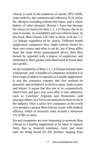Glucan is used in the treatment of cancer, HIV/AIDS, osteo-arthritis, the common cold, influenza,  $H_1N_1$  swine flu, allergies including asthma and lupus, and a whole battery of other ailments. Brewer's Yeast has become the source of choice for Beta 1.3, 1.6 Glucan, due to its ease to isolate, its availability and cost effectiveness. In this book Beta Glucan will refer to those with the 1.3, 1.6 linkage regardless of its source. Different health supplement companies have made various claims for their own source and what it can do, but if these differ from the main thesis promulgated above, then they should be regarded with a degree of scepticism, and attributed to their greater individual need to boost their own profits.

As the availability of Beta 1.3, 1.6 Glucan became more widespread, only a handful of companies included it in their range of tablets or capsules as a health supplement. It was the cosmetics industry that first realized its potential, and included it in facial creams, body creams and lotions. It seems that this was to be comparatively short-lived, and gave way soon after to new additions, such as Carnitine, Arginine and Hyaluronic acid amongst others, in a bid to out manoeuvre their rivals in the industry. Only a select few companies in the world now produce a proper Beta Glucan cream with medical efficacy, which of necessity must include a minimum 1% of BG or more.

Several companies are now beginning to promote Beta Glucan as a healthy supplement to be taken in capsule form. But as research continues, more and more uses are being found for this product, ranging from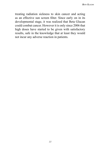treating radiation sickness to skin cancer and acting as an effective sun screen filter. Since early on in its developmental stage, it was realized that Beta Glucan could combat cancer. However it is only since 2006 that high doses have started to be given with satisfactory results, safe in the knowledge that at least they would not incur any adverse reaction in patients.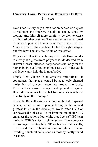# **Chapter Four: Potential Benefits Of Beta Glucan**

Ever since history began, man has embarked on a quest to maintain and improve health. It can be done by looking after himself more carefully, by diet, exercise or a host of other regimes. These activities are designed to increase people's longevity or their quality of life. Many elixirs of life have been touted through the ages, but few have had any real value or true effect.

Why should Beta Glucan be any different? How could a relatively straightforward polysaccharide derived from Brewer's Yeast, effect so many benefits not only for the human body, but for other animals as well? What can it do? How can it help the human body?

Firstly, Beta Glucan is an effective anti-oxidant. It counteracts the ravages caused by negatively charged molecules of oxygen travelling around the body. Free radicals cause damage and premature aging. Beta Glucan serves to combat free radicals which are effectively on the rampage!

Secondly, Beta Glucan can be used in the battle against cancer, which as most people know, is the second greatest killer in the developed world after CVD or cardiovascular disease. As an immune modulator, BG enhances the action of our white blood cells (WBC's) in the body. WBC's exist to fight infection. They comprise macrophages, neutrophils, NK or Natural Killer cells, T cells and others. Their duties are to fight and devour invading unnatural cells, such as those typically found in cancer.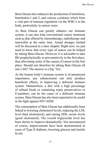Beta Glucan also enhances the production of interferon, Interleukin-1 and 2, and various cytokines which form a vital part of immune regulation via the WBC's in the body, particularly in cancer cases.

As Beta Glucan can greatly enhance our immune system, it can also help conventional cancer treatment such as that offered by chemotherapy, radiotherapy and tamoxifen at the same time. Actual dosages needed will be discussed in a later chapter. Right now, we just need to know that every type of cancer can be helped by taking Beta Glucan. However it is advisable to take BG prophylactically or preventatively in the first place, thus alleviating some of the causes of cancer in the first place. Should one therefore be taking Beta Glucan all one's life? The answer is a big 'Yes'.

As the human body's immune system is of paramount importance, any enhancement can only produce beneficial effects, in improving a deficient immune system. Malnutrition, a diet with a high percentage of refined foods or containing many preservatives or E-numbers, can be the cause of a deficient immune system. Beta Glucan has also been reported to be useful in the fight against HIV/AIDS.

The consumption of Beta Glucan has additionally been linked to lowering cholesterol levels, reducing the LDL level (bad cholesterol), and raising HDL serum levels (good cholesterol). The overall triglyceride level has been shown to improve dramatically. Not unconnected of course, improvements have been demonstrated in cases of Type II diabetes, lowering glucose and insulin levels.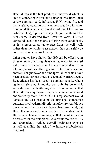Beta Glucan is the first product in the world which is able to combat both viral and bacterial infections, such as the common cold, influenza,  $H_1N_1$  swine flu, and many related conditions. It can help greatly with autoimmune deficiencies, as found in asthma, M.S., osteoarthritis (O.A), lupus and many allergies. Although the best source is derived from Brewer's Yeast, it is not contraindicated for persons suffering from candidiasis, as it is prepared as an extract from the cell wall, rather than the whole yeast extract, thus can safely be considered to be hypoallergenic.

Other studies have shown that BG can be effective in cases of exposure to high levels of radioactivity, as used with cases encountered in the Chernobyl disaster in Ukraine, as well as offering some protection in cases of anthrax, dengue fever and smallpox, all of which have been used at various times as chemical warfare agents. Beta Glucan has been used to combat malaria, where again an elevated immunity can only be beneficial, as is the case with fibromyalgia. Rumour has it that Beta Glucan may begin to replace some conventional antibiotics by the end of 2016. This replacement would damage the vast profits of the principal companies currently involved in antibiotic manufacture. Antibiotics work remedially once an infection has taken hold, but Beta Glucan works from a totally different standpoint. BG offers enhanced immunity, so that the infection can be resisted in the first place. As a result the use of BG can dramatically reduce overall healthcare expense as well as aiding the task of healthcare professionals involved.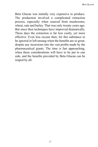Beta Glucan was initially very expensive to produce. The production involved a complicated extraction process, especially when sourced from mushrooms, wheat, oats and barley. That was only twenty years ago. But since then techniques have improved dramatically. These days the extraction is far less costly, yet more effective. Even less excuse then, for this substance to be ignored or left unsung when the benefits are so great, despite any incursions into the vast profits made by the pharmaceutical giants. The time is fast approaching, when these considerations will have to be put to one side, and the benefits provided by Beta Glucan can be reaped by all.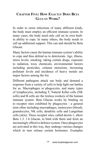# **Chapter Five: How Exactly Does Beta Glucan Work?**

In order to resist infections of many different kinds, the body must employ an efficient immune system. In many cases, the body need only call on its own builtin ability to cope. In many others, the body needs to call up additional support. This can and should be Beta Glucan.

Many factors cause the human immune system's ability to cope and thus defend us to deteriorate. Age, illness, stress levels, smoking, taking certain drugs, exposure to radiation, toxic chemicals, environmental factors including pesticides, exhaust emissions, increasing pollutant levels and incidence of heavy metals are major factors among the list.

Different pathogens attack our body and demand a response from a variety of cells to help fight our battles for us. Macrophages or phagocytes, and many types of lymphocytes, including T, Natural Killer cells (NK cells) and B cells are the tireless workers of the human immune system. Beta Glucan works by binding on to receptor sites exhibited by phagocytes - a general term often including macrophages, monocytes (blood), granulocytes, NK cells, dendritic cells and Langerhan cells (skin). These receptor sites, called dectin-1, allow Beta 1.3, 1.6 Glucan, to bind with them and form an increasingly effective defence system. Once phagocytes are activated in this way, they undergo various changes which in turn release certain hormones. Examples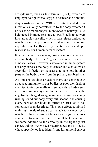are cytokines, such as Interleukin-1 (IL-1), which are employed to fight various types of cancer and tumours.

Any assistance to the WBC's to attack and devour infection can only be welcomed by the body, whether it be assisting macrophages, monocytes or neutrophils. A heightened immune response allows B cells to convert into larger plasma cells, which in turn release antibodies which allow the phagocytes to attack and overcome any infection. T cells identify infection and speed up a response by our human defence system.

If we are very fit or manage somehow to maintain an alkaline body (pH over 7.2), cancer can be resisted in almost all cases. However, a weakened immune system not only exposes the body to cancer, but also allows a secondary infection or metastases to take hold in other parts of the body, away from the primary troubled site.

All kinds of activities or lack of them, can contribute to a reduced immunity in our bodies. A poor diet, lack of exercise, toxins generally or free radicals, all adversely affect our immune system. In the case of free radicals, negatively charged oxygen molecules are constantly rushing round our body every millisecond, and causing every part of our body to suffer or 'rust' as it has sometimes been described. This toxic effect, combined with high levels of sugar, can attach to a cancer cell, which can have almost 25 times more sugar receptors compared to a normal cell. Thus Beta Glucan is a welcome addition to the armoury in the fight against cancer, aiding overworked macrophages and NK cells, whose specific job is to identify and kill tumoral cancer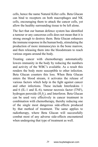cells, hence the name Natural Killer cells. Beta Glucan can bind to receptors on both macrophages and NK cells, encouraging them to attack the cancer cells, yet allow the healthy surrounding tissue to be left alone.

The fact that our human defence system has identified a tumour or any cancerous cells does not mean that it is strong enough to destroy them. Beta Glucan enhances the immune response in the human body, stimulating the production of more immunocytes in the bone marrow, and then releasing them into the bloodstream to reach various organs around the body.

Treating cancer with chemotherapy automatically lowers immunity in the body by reducing the numbers and activity of the WBC's available. As a result this renders the body more susceptible to other infection. Beta Glucan counters this loss. When Beta Glucan enters the blood stream, it activates the release of various factors which help in the fight against cancer and other infections. These include Interleukins 1 and 6 (IL-1 and IL-6), tumour necrosis factor (TNF), hydrogen peroxide  $(H_2O_2)$ , and Interferon. Beta Glucan can be used very effectively in cancer treatment in combination with chemotherapy, thereby reducing one of the single most dangerous side-effects produced by that method of treatment. The same applies to radiotherapy, where Beta Glucan will successfully combat most of any adverse side-effects encountered when undergoing that type of treatment as well.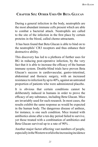# **Chapter Six: Other Uses Of Beta Glucan**

During a general infection in the body, neutrophils are the most abundant immune cells present which are able to combat a bacterial attack. Neutrophils are called to the site of the infection in the first place by certain proteins in the blood, called chemo-attractants.

 It has been found that Beta Glucan is able to bind on to the neutrophils' CR3 receptors and thus enhance their destructive ability.

This discovery has led to a plethora of further uses for BG in reducing post-operative infection, by the very fact that it is able to increase the efficacy of the human immune system. Double-blind trials have proven Beta Glucan's success in cardiovascular, gastro-intestinal, abdominal and thoracic surgery, with an increased resistance to infection by up to 40%, against an untreated proportion of patients who were administered placebo.

It is obvious that certain conditions cannot be deliberately induced in humans in order to prove the efficacy of any substance, including Beta Glucan. Mice are invariably used for such research. In most cases, the results exhibit the same response as would be expected in the human body. The dangerous disease of anthrax, for instance, is one such condition. Mice treated with antibiotics alone after a ten day period failed to survive, yet those treated with a combination of antibiotics and Beta Glucan survived up to a rate of 90% .

Another major factor affecting vast numbers of people, especially in the Western world is the increasing incidence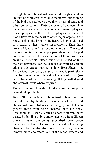of high blood cholesterol levels. Although a certain amount of cholesterol is vital to the normal functioning of the body, raised levels give rise to heart disease and other complications. Fatty deposits of cholesterol in the arteries can eventually cause atheromatous plaques. These plaques or the ruptured plaques can restrict blood flow from the heart to other major organs in the body, such as the brain or the heart (which could lead to a stroke or heart-attack respectively). Then there are the kidneys and various other organs. The usual response is for doctors to put patients on a prolonged course of Statins. The consumption of these drugs has an initial beneficial effect, but after a period of time their effectiveness can be reduced as well as certain adverse side-effects starting to show. Beta Glucan 1.3, 1.4 derived from oats, barley or wheat, is particularly effective in reducing cholesterol levels of LDL (socalled bad cholesterol) and raising HDL (so called good cholesterol) levels where required.

Excess cholesterol in the blood stream can suppress normal bile production.

Beta Glucan reduces cholesterol absorption in the intestine by binding to excess cholesterol and cholesterol-like substances in the gut, and helps to prevent these from being absorbed into the body. This complex is then excreted as part of normal body waste. By binding to bile and cholesterol, Beta Glucan prevents them from being reabsorbed lower down the digestive tract. Because less cholesterol is being absorbed by the digestive system, the body has to remove more cholesterol out of the blood stream and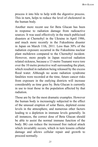process it into bile to help with the digestive process. This in turn, helps to reduce the level of cholesterol in the human body.

Another more recent use for Beta Glucan has been in response to radiation damage from radioactive sources. It was used effectively in the much publicised disasters at Chernobyl in the Ukraine in April 1986, and much more recently in the Fukushima disaster in Japan on March 11th, 2011. Less than 30% of the radiation exposure occurred in the Fukushima nuclear plant meltdown compared to the Chernobyl incident. However, more people in Japan received radiation related sickness, because a 13 metre Tsunami wave tore over the 10 metre protective wall surrounding the plant, which resulted in radiation being released by the excess flood water. Although no acute radiation syndrome fatalities were recorded at the time, future cancer risks from exposure in the outlying districts will increase considerably as time goes by. Beta Glucan is currently in use to treat those in the population affected by that radiation.

Those are by far the most dramatic examples. However the human body is increasingly subjected to the effect of the unusual eruption of solar flares, depleted ozone levels in the atmosphere, and numerous other factors leading to a depletion in immune levels generally. In all instances, the correct dose of Beta Glucan should be able to assist the normal immune function of the body. BG can reduce the increased free radical attack which invariably occurs, which in turn lessens cellular damage and allows cellular repair and growth to proceed normally.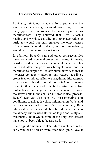# **Chapter Seven: Beta Glucan Cream**

Ironically, Beta Glucan made its first appearance on the world stage decades ago as an additional ingredient in many types of cream produced by the leading cosmetics manufacturers. They believed that Beta Glucan's healing and wrinkle, cellulite and other age-reducing attributes would not only enhance the effectiveness of their manufactured products, but more importantly, would help to increase product sales.

In addition, Beta Glucan and other polysaccharides have been used in general protective creams, ointments, powders and suspensions for several decades. This happened after the price was brought down, and its manufacture simplified. Its attributed activity is that it increases collagen production, and reduces age-lines, crows feet, wrinkles, cellulite, acne, dermatitis, eczema, psoriasis and other skin conditions. Beta Glucan creams promote their beneficial effects by attaching active molecules to the Langerhan cells in the skin to become the active units in the cellular anti free radical process. Beta Glucan can also help with post-operative skin conditions, scarring, dry skin, inflammation, boils, and herpes simplex. In the case of cosmetic surgery, Beta Glucan skin products would be a far safer alternative to the already widely used Botox, collagen and Restylane treatments, about which some of the long-term effects have not yet been able to be assessed.

The original amounts of Beta Glucan included in the early versions of cream were often negligible. Now it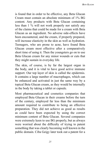is found that in order to be effective, any Beta Glucan Cream must contain an absolute minimum of 1% BG content. Any products with Beta Glucan containing less than 1 % will not work properly nor satisfy any of the claims that could be made for a cream with Beta Glucan as an ingredient. No adverse side-effects have been encountered, and the cream, if properly prepared, will increase elasticity in the skin as well as hydration. Teenagers, who are prone to acne, have found Beta Glucan cream most effective after a comparatively short time of using it. Then the youngsters go on to use Beta Glucan cream for any minor wounds or cuts that they might sustain in everyday life.

The skin, of course, is by far the largest organ in the body, and it is vital to have good active immune support. Our top layer of skin is called the epidermis. It contains a large number of macrophages, which can be enhanced and activated in just the same way by a topical Beta Glucan cream, as they would be internally in the body by taking a tablet or capsule.

Most pharmaceutical and cosmetics companies that employed Beta Glucan in their creams before the turn of the century, employed far less than the minimum amount required to contribute to being an effective preparation. They did not achieve as good as results as could have been expected by using the correct minimum content of Beta Glucan. Several companies were extremely keen to use BG properly, but as always were worried about the difficulty of trying to patent something that was clearly becoming well known in the public domain. Ciba Geigy later took out a patent for a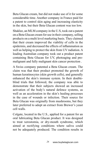Beta Glucan cream, but did not make use of it for some considerable time. Another company in France paid for a patent to control skin aging and increasing elasticity in the skin, but their Beta Glucan content was too low.

Shaklee, an MLM company in the U.S, took out a patent on a Beta Glucan cream for use in their company, selling products on a multi level marketing basis. They claimed that their cream improved the viability of cells in the epidermis, and decreased the effects of inflammation as well as helping to protect the skin from UV radiation. A leading Australian company took out a product patent containing Beta Glucan for UV, photoaging and premalignant and fully malignant skin cancer protection .

A Swiss company patented a Beta Glucan cream. The claim was that their product promoted the growth of human keratinocytes (skin growth cells), and generally enhanced the skin's immune system. In their doubleblind trials that followed, the company was able to demonstrate that their subjects showed an increased activation of the body's natural defence systems, as well as an acceleration in the skin's healing processes in the case of wounds or infection. Their source for Beta Glucan was originally from mushrooms, but they later preferred to adopt an extract from Brewer's yeast cell walls.

Colgate, located in the U.S., applied for a patent for an oral lubricating Beta Glucan product. It was designed to treat xerostomia, or dry-mouth syndrome, which aimed at rectifying conditions where saliva could not be adequately produced. The condition results in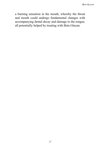a burning sensation in the mouth, whereby the throat and mouth could undergo fundamental changes with accompanying dental decay and damage to the tongue, all potentially helped by treating with Beta Glucan.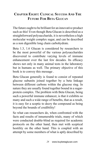# **Chapter Eight: Clinical Success And The Future For Beta Glucan**

The future ought to be brilliant for an innovative product such as this! Even though Beta Glucan is described as a straightforward polysaccharide, it is nevertheless a high molecular weight complex sugar, and can be described as a non digestible long chain carbohydrate.

Beta 1.3, 1.6 Glucan is considered by researchers to be the most powerful of the various polysaccharides discovered to contribute varying levels of immune enhancement over the last few decades. Its efficacy shows not only in many animal tests in the laboratory but in humans as well. The primary objective of this book is to convey this message .

Beta Glucan generally is found to consist of repeated glucose subunits joined together by a beta linkage between different carbons within the glucose ring. In nature they are usually found together bound in a sugarprotein complex. The problem with Beta Glucan, being such a powerful immune enhancer, is that it exhibits so many and such a wide range of benefits, that as a result, it is easy for a sceptic to decry the compound as being beyond the bounds of credibility!

So what can researchers do, when confronted with the facts and results of innumerable trials, many of which were conducted double-blind as required for academic protocols on the other hand, then met with sceptical hostility on the other hand. This is coupled with an attempt by some members of what is aptly described by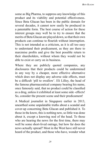some as Big Pharma, to suppress any knowledge of this product and its viability and potential effectiveness. Since Beta Glucan has been in the public domain for several decades, it cannot now easily be produced in a patentable form. The best course of action for these interest groups may well be to try to ensure that the merits of Beta Glucan are played down, so that their own products can continue to flourish without interruption. This is not intended as a criticism, as it is all too easy to understand their predicament, as they are there to maximise profits and give the best possible return to their shareholders, without whom they would not be able to exist or carry on in business.

Where they are publicly quoted companies, any disclosures that their products could be undermined in any way by a cheaper, more effective alternative which does not display any adverse side effects, must be a difficult 'pill to swallow'. Eli Lilley, the head of the famous pharmaceutical company bearing his name, once famously said, that no product could be classified as a drug, unless it exhibited at least some side -effects! So, consider the present scene and their predicament!

A Medical journalist in Singapore earlier in 2013, unearthed some unpalatable truths about a scandal and cover-up concerning Beta Glucan and published it. To those in the know, this is nothing new, so little was done about it, except a knowing nod of the head. To those who are hearing the news for the first time, there may well be some short-lived outrage, but how far does the news actually spread? Most in the West have still never heard of the product, and those who have, wonder what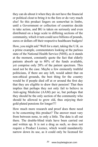they can do about it when they do not have the financial or political clout to bring it to the fore or do very much else! So this product lingers on somewhat in limbo, until a Government or collection of countries decide to take action, and BG is taken on seriously and even distributed on a large scale to differing sections of the community, which it turn could save billions of pounds, euros or dollars off their respective healthcare budgets!

How, you might ask? Well for a start, taking the U.K. as a prime example, commentators looking at the parlous state of the National Health Service (NHS), as it stands at the moment, constantly quote the fact that elderly patients absorb up to 80% of the funds available, yet comprise only 20% of the patient spectrum. This need not be the case. Maybe a few eminently truthful politicians, if there are any left, would admit that on non-ethical grounds, the best thing for the country would be if people died off at or around the first day that they are eligible to draw their pension! That then implies that perhaps they not only fail to believe in Anti-aging Medicine (AAM) per se, but perhaps that they should be the only section of the community who should be allowed to grow old, thus enjoying their gold-plated pensions for longer?!!

How much more research and proof does there need to be concerning this product? The answer must vary from between none, to only a little. The data is all out there. The double-blind trials have been carried out and written up. It is not a drug as such, so does not require a Product Licence, which would mandatorily narrow down its use, as it could only be licensed for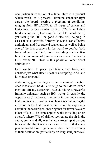one particular condition at a time. Here is a product which works as a powerful Immune enhancer right across the board, treating a plethora of conditions ranging from HIV/AIDS, to all types of cancer and leukaemia, cardiovascular disease (CVD), including lipid management, lowering the bad LDL cholesterol, yet raising the HDL or good cholesterol, helping in cases of osteo-arthritis, fibromyalgia, and is an effective antioxidant and free radical scavenger, as well as being one of the first products in the world to combat both bacterial and viral infections, including for the first time the common cold, influenza and even the deadly  $H_1N_1$  swine 'flu. How is this possible? What about antibiotics?

Here we have to pause and take a step back, and consider just what Beta Glucan is attempting to do, and its modus operandi!

Antibiotics, good as they are, act to combat infection once it has taken hold. Patients go to their doctor when they are already suffering. Instead, taking a powerful Immune enhancer such as BG, works in exactly the opposite way! Increased immunity in the body means that someone will have far less chance of contracting the infection in the first place, which would be especially useful in the workplace, ensuring that far fewer days are taken off sick. The same applies while travelling on an aircraft, where 97% of airlines recirculate the air in the cabin, germs and all, even being warmed up at various times on the flight when cabin staff realise that many people would like to gain some sleep before arriving at their destination, particularly on long haul journeys!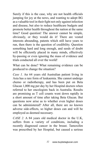Surely if this is the case, why are not health officials jumping for joy at the news, and wanting to adopt BG as a valuable tool in their fight not only against infection and disease, but also to reduce healthcare budgets and promote better health throughout the nation at the same time? Good question! The answer cannot be simple, obviously, or they would do it! There are vested interests abounding, patents which still have years to run, then there is the question of credibility. Question something hard and long enough, and seeds of doubt will be efficiently placed in many minds, effectively by-passing or even ignoring the mass of evidence and trials conducted all over the world!

What can be done? What remaining evidence can be produced to change the situation?

*Case 1.* An 64 years old Australian patient living in Asia has a rare form of leukaemia. She cannot undergo chemo or radiotherapy, and has been put on Beta Glucan 1,000 mg per day by her Hospital doctors when referred to her oncologists back in Australia. Results are promising as T cell counts went down rapidly in a short amount of time after taking Beta Glucan. But questions now arise as to whether even higher doses can be administered? After all, there are no known adverse side-effects, so higher doses can and will be employed as deemed necessary.

*CASE 2.* A 84 years old medical doctor in the U.K, suffers from a variety of conditions, including a recently diagnosed cancer in the breast. Tamoxifen was prescribed by her Hospital, but caused a serious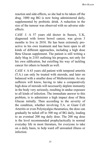reaction and side-effects, so she had to be taken off the drug. 1000 mg BG is now being administered daily, supplemented by probiotic drink. A reduction in the size of the tumour was observed with no adverse sideeffects.

*CASE 3.* A 57 years old doctor in Sussex, U.K, diagnosed with lower bowel cancer, was given 3 months to live in 2010. He has been extremely proactive in his own treatment and has been open to all kinds of different approaches, including a high dose Beta Glucan supplement. The patient is still writing a daily blog in 2103 outlining his progress, not only for his own edification, but extolling his way of tackling cancer for others to benefit as well.

*CASE 4.* A 63 years old patient with temporal arteritis (T.A.) can only be treated with steroids, and later on balanced with a smaller dose of Methotextrate. As any sufferers will know, having to take a comparatively high dose of steroids will necessarily deplete immunity in the body very seriously, resulting in undue exposure to all kinds of infection. The immediate answer to this problem, is to administer a high impact dose of Beta Glucan initially. Then according to the severity of the condition, whether involving T.A. or Giant Cell Arteritis or even Polymyalgia rheumatica, the dose can gradually be tailed off to 500 mg of BG daily, leading to an eventual 200 mg daily dose. The 200 mg dose is the level recommended prophylactically in normal everyday life in most literature, for everyone to take on a daily basis, to help ward off unwanted illness or infection.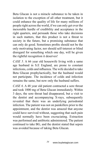Beta Glucan is not a miracle substance to be taken in isolation to the exception of all other treatment, but it could enhance the quality of life for many millions of people right across the world, if we can only get over the inexorable hurdle of credibility and acceptance in the right quarters, and persuade those who take decisions in such matters, that this product is not a threat to society in the future, but a promising substance that can only do good. Sometimes profits should not be the only motivating factor, nor should self-interest or blind disregard for something which one day, will be given the rightful recognition it deserves!

*CASE 5.* A 66 year old housewife living with a same age husband in S.E England, are prone to constant infections, colds and influenza. The wife decided to take Beta Glucan prophylactically, but the husband would not participate. The incidence of colds and infection remains the same, but now only the husband suffers.

*CASE 6.* A 48 year old patient contracted a sore throat and took 1000 mg of Beta Glucan immediately. Within 3 days, the sore throat had disappeared, but a visit to the dentist and accompanying X-rays, subsequently revealed that there was an underlying periodontal infection. The patient was not on painkillers prior to the appointment, and the dentist was amazed that anyone could have survived without, suggesting that such pain would normally have been excruciating. Extraction was performed and antibiotic administered. The patient continued to take BG, and the dentist stated that sepsis was avoided because of taking Beta Glucan.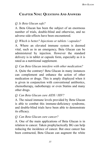# **Chapter Nine: Questions And Answers**

#### *Q. Is Beta Glucan safe?*

A. Beta Glucan has been the subject of an enormous number of trials, double-blind and otherwise, and no adverse side-effects have been encountered.

#### *Q. Which is better? Injections or tablets / capsules?*

A. Where an elevated immune system is deemed vital, such as in an emergency, Beta Glucan can be administered by injection. However the standard delivery is in tablet or capsule form, especially as it is rated as a nutritional supplement.

#### *Q. Can Beta Glucan interfere with other medication?*

A. Quite the contrary! Beta Glucan in many instances can complement and enhance the action of other medication or drugs. This is amply displayed when it is given in conjunction with conventional antibiotics, chemotherapy, radiotherapy or even Statins and many other drugs.

#### *Q. Can Beta Glucan cure AIDS / HIV?*

A. The raised immune levels provided by Beta Glucan is able to combat this immune-deficiency syndrome, and double-blind trials have been able to demonstrate its efficacy.

#### *Q. Can Beta Glucan cure cancer?*

A. One of the main applications of Beta Glucan is in relation to cancer. Taken prophylactically BG can help reducing the incidence of cancer. But once cancer has been contracted, Beta Glucan can augment the white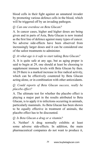blood cells in their fight against an unnatural invader by promoting various defence cells in the blood, which will be triggered off by an invading pathogen.

# *Q. Can one overdose on Beta Glucan?*

A. In cancer cases, higher and higher doses are being given and in parts of Asia, Beta Glucan is now treated as the first line of defence against many types of cancer. No adverse side-effects have been observed from increasingly larger doses and it can be considered one of the safest treatments to administer.

# *Q. At what age is it safe to start taking Beta Glucan?*

A. It is quite safe at any age, but as aging proper is said to begin at 29, one should at least be choosing to supplement immune levels with Beta Glucan by then. At 29 there is a marked increase in free radical activity, which can be effectively countered by Beta Glucan acting alone, or in combination with other antioxidants.

#### *Q. Could reports of Beta Glucan success, really be placebo effect?*

A. The ultimate test for whether the placebo effect is playing a major part in the results attributed to Beta Glucan, is to apply it to infections occurring in animals, particularly mammals. As Beta Glucan has been shown to be equally effective in treatment of animals, the placebo effect has to be discounted.

#### *Q. Is Beta Glucan a drug or a vitamin?*

A. Neither! A drug normally exhibits at least some adverse side-effects. In addition, the main pharmaceutical companies do not want to produce it,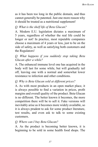as it has been too long in the public domain, and thus cannot generally be patented. Just one more reason why it should be treated as a nutritional supplement!

#### *Q. What is the shelf life of Beta Glucan?*

A. Modern E.U. legislation dictates a maximum of 5 years, regardless of whether the real life could be longer or not! In practice, most reputable companies choose a maximum of 4 years or less, just to be on the side of safety, as well as satisfying both customers and the Regulators!

#### *Q. What happens if you suddenly stop taking Beta Glucan after a while?*

A. The enhanced immune level one has acquired in the body will last for some while, but will gradually tail off, leaving one with a normal and somewhat lower resistance to infection and other conditions.

#### *Q. Why is Beta Glucan sold at different prices?*

A. As with most products in an open market place, it is always possible to find a variation in prices, profit margins and overall quality of the product. Beta Glucan is no different. The better known it becomes, the more competition there will be to sell it. Fake versions will inevitably arise as it becomes more widely available, so it is always prudent to ask for some product literature, test results, and even ask to talk to some existing customers.

#### *Q. Where can I buy Beta Glucan?*

A. As the product is becoming better known, it is beginning to be sold in some health food shops. The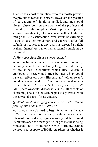Internet has a host of suppliers who can mostly provide the product at reasonable prices. However, the practice of 'caveat emptor' should be applied, and one should always check both on the quality of the product and reliability of the supplier. Most reputable suppliers selling through eBay, for instance, with a high star rating and 100% satisfaction level, would be extremely loathe to lose that reputation, and expressly offer full refunds or request that any query is directed straight at them themselves, rather than a formal complaint be instituted

### *Q. How does Beta Glucan combat aging?*

A. As an Immune enhancer, any increased immunity can only serve to help not only longevity, but quality of life as well. Conditions which Beta Glucan is employed to treat, would often be ones which could have an effect on one's lifespan, and left untreated, could even result in death. Conditions such as dementia or specifically Alzheimer's Disease, cancer, HIV/ AIDS, cardiovascular disease (CVD) are all capable of shortening one's life, but can be positively treated with the correct dosage of Beta Glucan.

# *Q. What constitutes aging and how can Beta Glucan prolong one's chances of survival?*

A. Aging is now claimed to begin in earnest at the age of 29. That is when for instance, insulin clearance after intake of food or drink, begins to go beyond the original 30 minutes or so as a teenager. As long as insulin is being produced, HGH or Human Growth Hormone, cannot be produced. A spike of HGH, regardless of whether it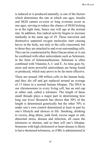is induced or is produced naturally, is one of the factors which determines the rate at which one ages. Insulin and HGH cannot co-exist so long overruns occur as one ages, serving to reduce the chance of HGH kicking in at the right time, hence one will age at the normal rate. In addition, free radical activity begins to increase markedly at the same age of 29. These maverick and destructive unpaired oxygen molecules start causing havoc in the body, not only to the cells concerned, but to those they are attached to and even surrounding cells. This can be counteracted by Beta Glucan alone or it can be combined with other antioxidants such as Selenium, in the form of Selenomethionine. Selenium is often combined with Vitamins A, C and E. As time goes by, more and more powerful antioxidants are being found or produced, which may prove to be far more effective.

There are around 100 trillion cells in the human body, and they die off and get replaced around an average of 13 times in a normal human lifespan. The DNA in our chromosomes in every living cell, has an end cap at either end, called a telomere. The length of these small threads plays a major part in determining how long one lives! Research has shown that 30% of the length is determined genetically but the other 70% is under one's own control determined at least in part by one's lifestyle and choices in life. Smoking, drinking to excess, drug abuse, junk food, excess sugar or salt, abnormal stress, disease and infection, all cause the telomeres to shorten, and so then will one's lifespan. Someone with high cholesterol or heart disease is likely to have shortened telomeres, so if BG is administered in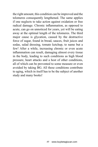the right amount, this condition can be improved and the telomeres consequently lengthened. The same applies if one neglects to take action against oxidation or free radical damage. Chronic inflammation, as opposed to acute, can go on unnoticed for years, yet will be eating away at the optimal length of the telomeres. The third major cause is glycation, caused by the destructive force of sugar, found in bread, sauces, fruit juices and sodas, salad dressing, tomato ketchup, to name but a few! After a while, increasing chronic or even acute inflammation can result, damaging almost every tissue in the body, leading to such conditions as high blood pressure, heart attacks and a host of other conditions, all of which can be prevented to some measure or even avoided by taking BG. All these conditions contribute to aging, which in itself has to be the subject of another study and many books!